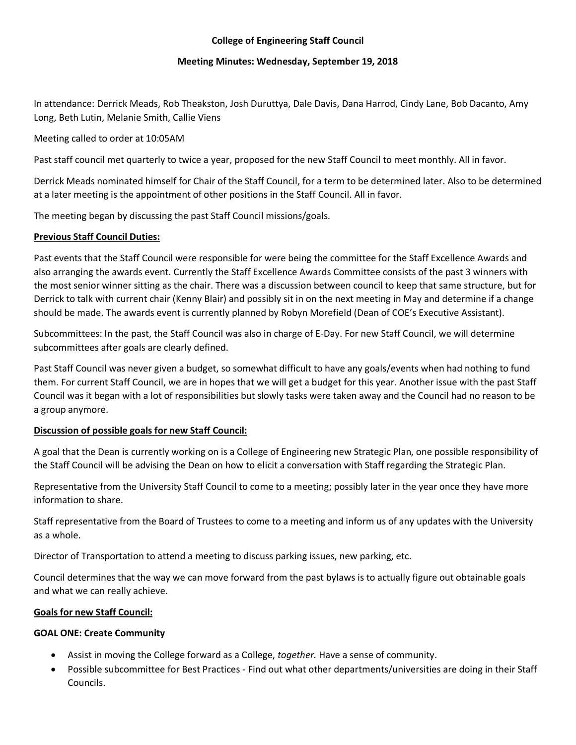## **College of Engineering Staff Council**

## **Meeting Minutes: Wednesday, September 19, 2018**

In attendance: Derrick Meads, Rob Theakston, Josh Duruttya, Dale Davis, Dana Harrod, Cindy Lane, Bob Dacanto, Amy Long, Beth Lutin, Melanie Smith, Callie Viens

## Meeting called to order at 10:05AM

Past staff council met quarterly to twice a year, proposed for the new Staff Council to meet monthly. All in favor.

Derrick Meads nominated himself for Chair of the Staff Council, for a term to be determined later. Also to be determined at a later meeting is the appointment of other positions in the Staff Council. All in favor.

The meeting began by discussing the past Staff Council missions/goals.

## **Previous Staff Council Duties:**

Past events that the Staff Council were responsible for were being the committee for the Staff Excellence Awards and also arranging the awards event. Currently the Staff Excellence Awards Committee consists of the past 3 winners with the most senior winner sitting as the chair. There was a discussion between council to keep that same structure, but for Derrick to talk with current chair (Kenny Blair) and possibly sit in on the next meeting in May and determine if a change should be made. The awards event is currently planned by Robyn Morefield (Dean of COE's Executive Assistant).

Subcommittees: In the past, the Staff Council was also in charge of E-Day. For new Staff Council, we will determine subcommittees after goals are clearly defined.

Past Staff Council was never given a budget, so somewhat difficult to have any goals/events when had nothing to fund them. For current Staff Council, we are in hopes that we will get a budget for this year. Another issue with the past Staff Council was it began with a lot of responsibilities but slowly tasks were taken away and the Council had no reason to be a group anymore.

# **Discussion of possible goals for new Staff Council:**

A goal that the Dean is currently working on is a College of Engineering new Strategic Plan, one possible responsibility of the Staff Council will be advising the Dean on how to elicit a conversation with Staff regarding the Strategic Plan.

Representative from the University Staff Council to come to a meeting; possibly later in the year once they have more information to share.

Staff representative from the Board of Trustees to come to a meeting and inform us of any updates with the University as a whole.

Director of Transportation to attend a meeting to discuss parking issues, new parking, etc.

Council determines that the way we can move forward from the past bylaws is to actually figure out obtainable goals and what we can really achieve.

#### **Goals for new Staff Council:**

#### **GOAL ONE: Create Community**

- Assist in moving the College forward as a College, *together.* Have a sense of community.
- Possible subcommittee for Best Practices Find out what other departments/universities are doing in their Staff Councils.